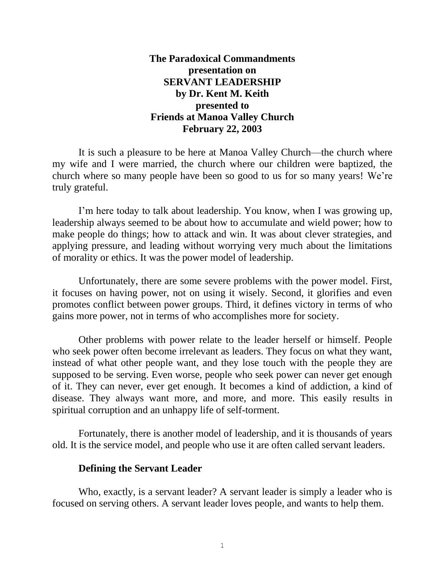**The Paradoxical Commandments presentation on SERVANT LEADERSHIP by Dr. Kent M. Keith presented to Friends at Manoa Valley Church February 22, 2003**

It is such a pleasure to be here at Manoa Valley Church—the church where my wife and I were married, the church where our children were baptized, the church where so many people have been so good to us for so many years! We're truly grateful.

I'm here today to talk about leadership. You know, when I was growing up, leadership always seemed to be about how to accumulate and wield power; how to make people do things; how to attack and win. It was about clever strategies, and applying pressure, and leading without worrying very much about the limitations of morality or ethics. It was the power model of leadership.

Unfortunately, there are some severe problems with the power model. First, it focuses on having power, not on using it wisely. Second, it glorifies and even promotes conflict between power groups. Third, it defines victory in terms of who gains more power, not in terms of who accomplishes more for society.

Other problems with power relate to the leader herself or himself. People who seek power often become irrelevant as leaders. They focus on what they want, instead of what other people want, and they lose touch with the people they are supposed to be serving. Even worse, people who seek power can never get enough of it. They can never, ever get enough. It becomes a kind of addiction, a kind of disease. They always want more, and more, and more. This easily results in spiritual corruption and an unhappy life of self-torment.

Fortunately, there is another model of leadership, and it is thousands of years old. It is the service model, and people who use it are often called servant leaders.

## **Defining the Servant Leader**

Who, exactly, is a servant leader? A servant leader is simply a leader who is focused on serving others. A servant leader loves people, and wants to help them.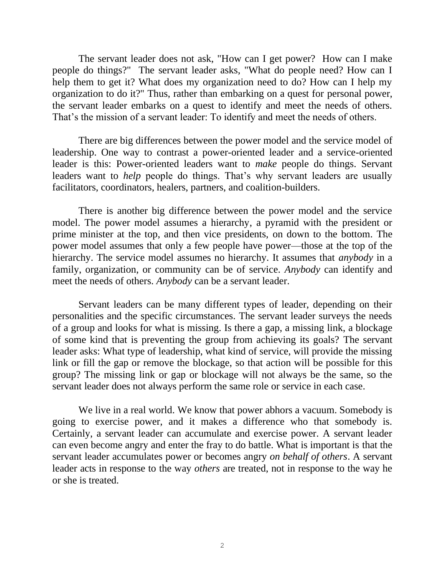The servant leader does not ask, "How can I get power? How can I make people do things?" The servant leader asks, "What do people need? How can I help them to get it? What does my organization need to do? How can I help my organization to do it?" Thus, rather than embarking on a quest for personal power, the servant leader embarks on a quest to identify and meet the needs of others. That's the mission of a servant leader: To identify and meet the needs of others.

There are big differences between the power model and the service model of leadership. One way to contrast a power-oriented leader and a service-oriented leader is this: Power-oriented leaders want to *make* people do things. Servant leaders want to *help* people do things. That's why servant leaders are usually facilitators, coordinators, healers, partners, and coalition-builders.

There is another big difference between the power model and the service model. The power model assumes a hierarchy, a pyramid with the president or prime minister at the top, and then vice presidents, on down to the bottom. The power model assumes that only a few people have power—those at the top of the hierarchy. The service model assumes no hierarchy. It assumes that *anybody* in a family, organization, or community can be of service. *Anybody* can identify and meet the needs of others. *Anybody* can be a servant leader.

Servant leaders can be many different types of leader, depending on their personalities and the specific circumstances. The servant leader surveys the needs of a group and looks for what is missing. Is there a gap, a missing link, a blockage of some kind that is preventing the group from achieving its goals? The servant leader asks: What type of leadership, what kind of service, will provide the missing link or fill the gap or remove the blockage, so that action will be possible for this group? The missing link or gap or blockage will not always be the same, so the servant leader does not always perform the same role or service in each case.

We live in a real world. We know that power abhors a vacuum. Somebody is going to exercise power, and it makes a difference who that somebody is. Certainly, a servant leader can accumulate and exercise power. A servant leader can even become angry and enter the fray to do battle. What is important is that the servant leader accumulates power or becomes angry *on behalf of others*. A servant leader acts in response to the way *others* are treated, not in response to the way he or she is treated.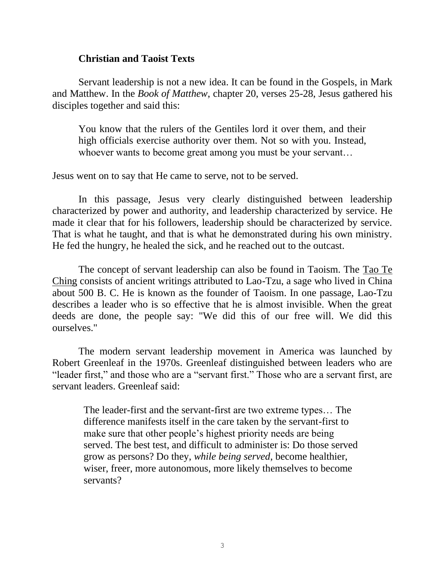### **Christian and Taoist Texts**

Servant leadership is not a new idea. It can be found in the Gospels, in Mark and Matthew. In the *Book of Matthew*, chapter 20, verses 25-28, Jesus gathered his disciples together and said this:

You know that the rulers of the Gentiles lord it over them, and their high officials exercise authority over them. Not so with you. Instead, whoever wants to become great among you must be your servant…

Jesus went on to say that He came to serve, not to be served.

In this passage, Jesus very clearly distinguished between leadership characterized by power and authority, and leadership characterized by service. He made it clear that for his followers, leadership should be characterized by service. That is what he taught, and that is what he demonstrated during his own ministry. He fed the hungry, he healed the sick, and he reached out to the outcast.

The concept of servant leadership can also be found in Taoism. The Tao Te Ching consists of ancient writings attributed to Lao-Tzu, a sage who lived in China about 500 B. C. He is known as the founder of Taoism. In one passage, Lao-Tzu describes a leader who is so effective that he is almost invisible. When the great deeds are done, the people say: "We did this of our free will. We did this ourselves."

The modern servant leadership movement in America was launched by Robert Greenleaf in the 1970s. Greenleaf distinguished between leaders who are "leader first," and those who are a "servant first." Those who are a servant first, are servant leaders. Greenleaf said:

The leader-first and the servant-first are two extreme types… The difference manifests itself in the care taken by the servant-first to make sure that other people's highest priority needs are being served. The best test, and difficult to administer is: Do those served grow as persons? Do they, *while being served*, become healthier, wiser, freer, more autonomous, more likely themselves to become servants?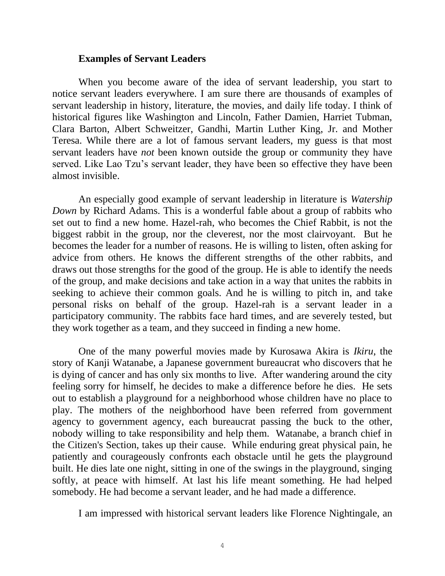#### **Examples of Servant Leaders**

When you become aware of the idea of servant leadership, you start to notice servant leaders everywhere. I am sure there are thousands of examples of servant leadership in history, literature, the movies, and daily life today. I think of historical figures like Washington and Lincoln, Father Damien, Harriet Tubman, Clara Barton, Albert Schweitzer, Gandhi, Martin Luther King, Jr. and Mother Teresa. While there are a lot of famous servant leaders, my guess is that most servant leaders have *not* been known outside the group or community they have served. Like Lao Tzu's servant leader, they have been so effective they have been almost invisible.

An especially good example of servant leadership in literature is *Watership Down* by Richard Adams. This is a wonderful fable about a group of rabbits who set out to find a new home. Hazel-rah, who becomes the Chief Rabbit, is not the biggest rabbit in the group, nor the cleverest, nor the most clairvoyant. But he becomes the leader for a number of reasons. He is willing to listen, often asking for advice from others. He knows the different strengths of the other rabbits, and draws out those strengths for the good of the group. He is able to identify the needs of the group, and make decisions and take action in a way that unites the rabbits in seeking to achieve their common goals. And he is willing to pitch in, and take personal risks on behalf of the group. Hazel-rah is a servant leader in a participatory community. The rabbits face hard times, and are severely tested, but they work together as a team, and they succeed in finding a new home.

One of the many powerful movies made by Kurosawa Akira is *Ikiru*, the story of Kanji Watanabe, a Japanese government bureaucrat who discovers that he is dying of cancer and has only six months to live. After wandering around the city feeling sorry for himself, he decides to make a difference before he dies. He sets out to establish a playground for a neighborhood whose children have no place to play. The mothers of the neighborhood have been referred from government agency to government agency, each bureaucrat passing the buck to the other, nobody willing to take responsibility and help them. Watanabe, a branch chief in the Citizen's Section, takes up their cause. While enduring great physical pain, he patiently and courageously confronts each obstacle until he gets the playground built. He dies late one night, sitting in one of the swings in the playground, singing softly, at peace with himself. At last his life meant something. He had helped somebody. He had become a servant leader, and he had made a difference.

I am impressed with historical servant leaders like Florence Nightingale, an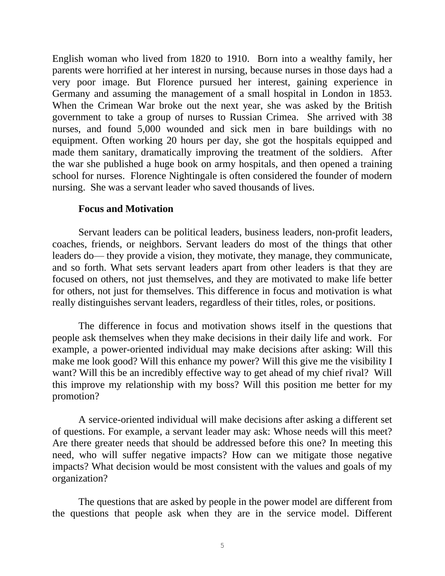English woman who lived from 1820 to 1910. Born into a wealthy family, her parents were horrified at her interest in nursing, because nurses in those days had a very poor image. But Florence pursued her interest, gaining experience in Germany and assuming the management of a small hospital in London in 1853. When the Crimean War broke out the next year, she was asked by the British government to take a group of nurses to Russian Crimea. She arrived with 38 nurses, and found 5,000 wounded and sick men in bare buildings with no equipment. Often working 20 hours per day, she got the hospitals equipped and made them sanitary, dramatically improving the treatment of the soldiers. After the war she published a huge book on army hospitals, and then opened a training school for nurses. Florence Nightingale is often considered the founder of modern nursing. She was a servant leader who saved thousands of lives.

### **Focus and Motivation**

Servant leaders can be political leaders, business leaders, non-profit leaders, coaches, friends, or neighbors. Servant leaders do most of the things that other leaders do— they provide a vision, they motivate, they manage, they communicate, and so forth. What sets servant leaders apart from other leaders is that they are focused on others, not just themselves, and they are motivated to make life better for others, not just for themselves. This difference in focus and motivation is what really distinguishes servant leaders, regardless of their titles, roles, or positions.

The difference in focus and motivation shows itself in the questions that people ask themselves when they make decisions in their daily life and work. For example, a power-oriented individual may make decisions after asking: Will this make me look good? Will this enhance my power? Will this give me the visibility I want? Will this be an incredibly effective way to get ahead of my chief rival? Will this improve my relationship with my boss? Will this position me better for my promotion?

A service-oriented individual will make decisions after asking a different set of questions. For example, a servant leader may ask: Whose needs will this meet? Are there greater needs that should be addressed before this one? In meeting this need, who will suffer negative impacts? How can we mitigate those negative impacts? What decision would be most consistent with the values and goals of my organization?

The questions that are asked by people in the power model are different from the questions that people ask when they are in the service model. Different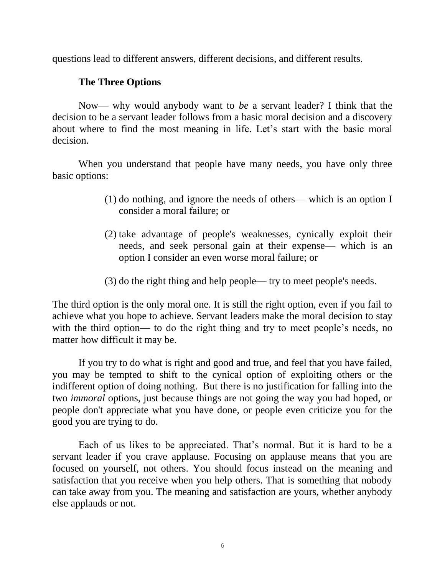questions lead to different answers, different decisions, and different results.

# **The Three Options**

Now— why would anybody want to *be* a servant leader? I think that the decision to be a servant leader follows from a basic moral decision and a discovery about where to find the most meaning in life. Let's start with the basic moral decision.

When you understand that people have many needs, you have only three basic options:

- (1) do nothing, and ignore the needs of others— which is an option I consider a moral failure; or
- (2) take advantage of people's weaknesses, cynically exploit their needs, and seek personal gain at their expense— which is an option I consider an even worse moral failure; or
- (3) do the right thing and help people— try to meet people's needs.

The third option is the only moral one. It is still the right option, even if you fail to achieve what you hope to achieve. Servant leaders make the moral decision to stay with the third option— to do the right thing and try to meet people's needs, no matter how difficult it may be.

If you try to do what is right and good and true, and feel that you have failed, you may be tempted to shift to the cynical option of exploiting others or the indifferent option of doing nothing. But there is no justification for falling into the two *immoral* options, just because things are not going the way you had hoped, or people don't appreciate what you have done, or people even criticize you for the good you are trying to do.

Each of us likes to be appreciated. That's normal. But it is hard to be a servant leader if you crave applause. Focusing on applause means that you are focused on yourself, not others. You should focus instead on the meaning and satisfaction that you receive when you help others. That is something that nobody can take away from you. The meaning and satisfaction are yours, whether anybody else applauds or not.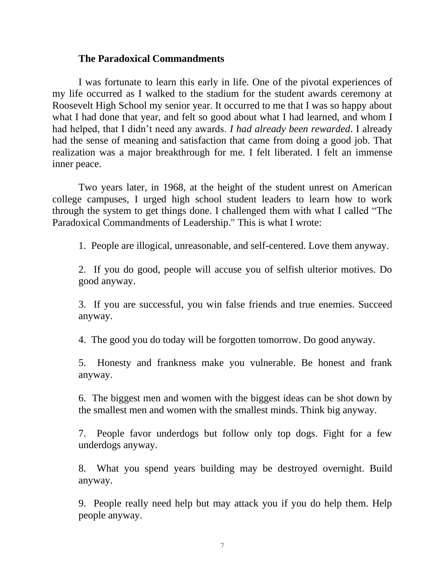### **The Paradoxical Commandments**

I was fortunate to learn this early in life. One of the pivotal experiences of my life occurred as I walked to the stadium for the student awards ceremony at Roosevelt High School my senior year. It occurred to me that I was so happy about what I had done that year, and felt so good about what I had learned, and whom I had helped, that I didn't need any awards. *I had already been rewarded*. I already had the sense of meaning and satisfaction that came from doing a good job. That realization was a major breakthrough for me. I felt liberated. I felt an immense inner peace.

Two years later, in 1968, at the height of the student unrest on American college campuses, I urged high school student leaders to learn how to work through the system to get things done. I challenged them with what I called "The Paradoxical Commandments of Leadership." This is what I wrote:

1. People are illogical, unreasonable, and self-centered. Love them anyway.

2. If you do good, people will accuse you of selfish ulterior motives. Do good anyway.

3. If you are successful, you win false friends and true enemies. Succeed anyway.

4. The good you do today will be forgotten tomorrow. Do good anyway.

5. Honesty and frankness make you vulnerable. Be honest and frank anyway.

6. The biggest men and women with the biggest ideas can be shot down by the smallest men and women with the smallest minds. Think big anyway.

7. People favor underdogs but follow only top dogs. Fight for a few underdogs anyway.

8. What you spend years building may be destroyed overnight. Build anyway.

9. People really need help but may attack you if you do help them. Help people anyway.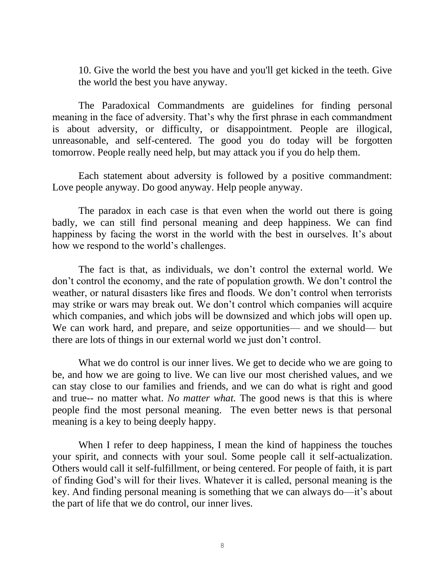10. Give the world the best you have and you'll get kicked in the teeth. Give the world the best you have anyway.

The Paradoxical Commandments are guidelines for finding personal meaning in the face of adversity. That's why the first phrase in each commandment is about adversity, or difficulty, or disappointment. People are illogical, unreasonable, and self-centered. The good you do today will be forgotten tomorrow. People really need help, but may attack you if you do help them.

Each statement about adversity is followed by a positive commandment: Love people anyway. Do good anyway. Help people anyway.

The paradox in each case is that even when the world out there is going badly, we can still find personal meaning and deep happiness. We can find happiness by facing the worst in the world with the best in ourselves. It's about how we respond to the world's challenges.

The fact is that, as individuals, we don't control the external world. We don't control the economy, and the rate of population growth. We don't control the weather, or natural disasters like fires and floods. We don't control when terrorists may strike or wars may break out. We don't control which companies will acquire which companies, and which jobs will be downsized and which jobs will open up. We can work hard, and prepare, and seize opportunities— and we should— but there are lots of things in our external world we just don't control.

What we do control is our inner lives. We get to decide who we are going to be, and how we are going to live. We can live our most cherished values, and we can stay close to our families and friends, and we can do what is right and good and true-- no matter what. *No matter what.* The good news is that this is where people find the most personal meaning. The even better news is that personal meaning is a key to being deeply happy.

When I refer to deep happiness, I mean the kind of happiness the touches your spirit, and connects with your soul. Some people call it self-actualization. Others would call it self-fulfillment, or being centered. For people of faith, it is part of finding God's will for their lives. Whatever it is called, personal meaning is the key. And finding personal meaning is something that we can always do—it's about the part of life that we do control, our inner lives.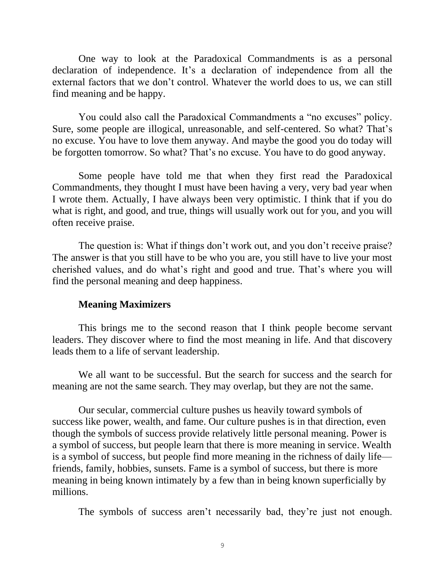One way to look at the Paradoxical Commandments is as a personal declaration of independence. It's a declaration of independence from all the external factors that we don't control. Whatever the world does to us, we can still find meaning and be happy.

You could also call the Paradoxical Commandments a "no excuses" policy. Sure, some people are illogical, unreasonable, and self-centered. So what? That's no excuse. You have to love them anyway. And maybe the good you do today will be forgotten tomorrow. So what? That's no excuse. You have to do good anyway.

Some people have told me that when they first read the Paradoxical Commandments, they thought I must have been having a very, very bad year when I wrote them. Actually, I have always been very optimistic. I think that if you do what is right, and good, and true, things will usually work out for you, and you will often receive praise.

The question is: What if things don't work out, and you don't receive praise? The answer is that you still have to be who you are, you still have to live your most cherished values, and do what's right and good and true. That's where you will find the personal meaning and deep happiness.

#### **Meaning Maximizers**

This brings me to the second reason that I think people become servant leaders. They discover where to find the most meaning in life. And that discovery leads them to a life of servant leadership.

We all want to be successful. But the search for success and the search for meaning are not the same search. They may overlap, but they are not the same.

Our secular, commercial culture pushes us heavily toward symbols of success like power, wealth, and fame. Our culture pushes is in that direction, even though the symbols of success provide relatively little personal meaning. Power is a symbol of success, but people learn that there is more meaning in service. Wealth is a symbol of success, but people find more meaning in the richness of daily life friends, family, hobbies, sunsets. Fame is a symbol of success, but there is more meaning in being known intimately by a few than in being known superficially by millions.

The symbols of success aren't necessarily bad, they're just not enough.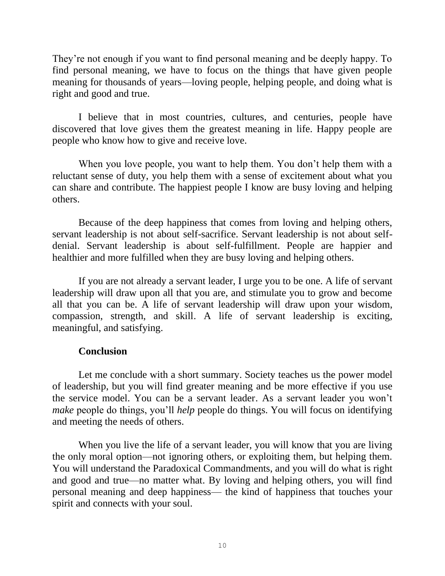They're not enough if you want to find personal meaning and be deeply happy. To find personal meaning, we have to focus on the things that have given people meaning for thousands of years—loving people, helping people, and doing what is right and good and true.

I believe that in most countries, cultures, and centuries, people have discovered that love gives them the greatest meaning in life. Happy people are people who know how to give and receive love.

When you love people, you want to help them. You don't help them with a reluctant sense of duty, you help them with a sense of excitement about what you can share and contribute. The happiest people I know are busy loving and helping others.

Because of the deep happiness that comes from loving and helping others, servant leadership is not about self-sacrifice. Servant leadership is not about selfdenial. Servant leadership is about self-fulfillment. People are happier and healthier and more fulfilled when they are busy loving and helping others.

If you are not already a servant leader, I urge you to be one. A life of servant leadership will draw upon all that you are, and stimulate you to grow and become all that you can be. A life of servant leadership will draw upon your wisdom, compassion, strength, and skill. A life of servant leadership is exciting, meaningful, and satisfying.

# **Conclusion**

Let me conclude with a short summary. Society teaches us the power model of leadership, but you will find greater meaning and be more effective if you use the service model. You can be a servant leader. As a servant leader you won't *make* people do things, you'll *help* people do things. You will focus on identifying and meeting the needs of others.

When you live the life of a servant leader, you will know that you are living the only moral option—not ignoring others, or exploiting them, but helping them. You will understand the Paradoxical Commandments, and you will do what is right and good and true—no matter what. By loving and helping others, you will find personal meaning and deep happiness— the kind of happiness that touches your spirit and connects with your soul.